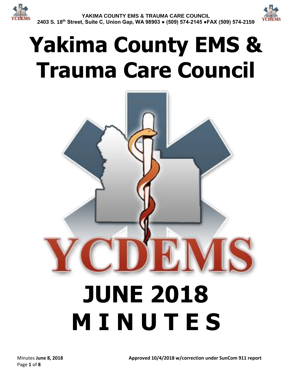



# **Yakima County EMS & Trauma Care Council**

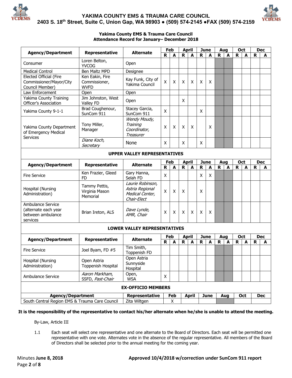

#### **YAKIMA COUNTY EMS & TRAUMA CARE COUNCIL 2403 S. 18th Street, Suite C, Union Gap, WA 98903 ● (509) 574-2145 ●FAX (509) 574-2159**



#### **Yakima County EMS & Trauma Care Council Attendance Record for January– December 2018**

| <b>Agency/Department</b>                                                   | Representative                              | <b>Alternate</b>                                                      | Feb<br><b>April</b> |     |              | <b>June</b>  |                    | Aug                       |     | <b>Oct</b> |             | <b>Dec</b> |            |            |
|----------------------------------------------------------------------------|---------------------------------------------|-----------------------------------------------------------------------|---------------------|-----|--------------|--------------|--------------------|---------------------------|-----|------------|-------------|------------|------------|------------|
|                                                                            |                                             |                                                                       | R                   | A   | R            | A            | R                  | A                         | R   | A          | $\mathbf R$ | A          | R          | A          |
| Consumer                                                                   | Loren Belton,<br><b>YVCOG</b>               | Open                                                                  |                     |     |              |              |                    |                           |     |            |             |            |            |            |
| <b>Medical Control</b>                                                     | <b>Ben Maltz MPD</b>                        | Designee                                                              |                     |     |              |              |                    |                           |     |            |             |            |            |            |
| Elected Official (Fire                                                     | Ken Eakin, Fire                             |                                                                       |                     |     |              |              |                    |                           |     |            |             |            |            |            |
| Commissioner/Mayor/City                                                    | Commissioner,                               | Kay Funk, City of<br>Yakima Council                                   | $\mathsf{x}$        | X   | X            | X            | X                  | X                         |     |            |             |            |            |            |
| Council Member)                                                            | <b>WVFD</b>                                 |                                                                       |                     |     |              |              |                    |                           |     |            |             |            |            |            |
| Law Enforcement                                                            | Open                                        | Open                                                                  |                     |     |              |              |                    |                           |     |            |             |            |            |            |
| Yakima County Training<br>Officer's Association                            | Jim Johnston, West<br>Valley FD             | Open                                                                  |                     |     | X            |              |                    |                           |     |            |             |            |            |            |
| Yakima County 9-1-1                                                        | Brad Coughenour,<br>SunCom 911              | Stacey Garcia,<br>SunCom 911                                          | X                   |     |              |              | X                  |                           |     |            |             |            |            |            |
| Yakima County Department<br>of Emergency Medical<br><b>Services</b>        | Tony Miller,<br>Manager                     | Wendy Moudy,<br>Training<br>Coordinator,<br><b>Treasurer</b>          | X                   | X   | X            | X            |                    | X                         |     |            |             |            |            |            |
|                                                                            | Diane Koch,<br>Secretary                    | None                                                                  | X                   |     | X            |              | X                  |                           |     |            |             |            |            |            |
| <b>UPPER VALLEY REPRESENTATIVES</b>                                        |                                             |                                                                       |                     |     |              |              |                    |                           |     |            |             |            |            |            |
|                                                                            |                                             |                                                                       | Feb                 |     | <b>April</b> |              | <b>June</b>        |                           | Aug |            | Oct         |            | <b>Dec</b> |            |
| <b>Agency/Department</b>                                                   | Representative                              | <b>Alternate</b>                                                      | R                   | A   | $\mathbf R$  | A            | $\mathbf R$        | A                         | R   | A          | $\mathbf R$ | A          | R          | A          |
| <b>Fire Service</b>                                                        | Ken Frazier, Gleed<br>FD                    | Gary Hanna,<br>Selah FD                                               | $\mathsf{x}$        |     |              |              | X                  | $\boldsymbol{\mathsf{X}}$ |     |            |             |            |            |            |
| Hospital (Nursing<br>Administration)                                       | Tammy Pettis,<br>Virginia Mason<br>Memorial | Laurie Robinson,<br>Astria Regional<br>Medical Center,<br>Chair-Elect | X                   | X   | X            |              | X                  |                           |     |            |             |            |            |            |
| Ambulance Service<br>(alternate each year<br>between ambulance<br>services | Brian Ireton, ALS                           | Dave Lynde,<br>AMR, Chair                                             | $\pmb{\mathsf{X}}$  | X   | X            | $\mathsf{X}$ | $\pmb{\mathsf{X}}$ | X                         |     |            |             |            |            |            |
|                                                                            |                                             | <b>LOWER VALLEY REPRESENTATIVES</b>                                   |                     |     |              |              |                    |                           |     |            |             |            |            |            |
|                                                                            |                                             |                                                                       |                     | Feb |              | <b>April</b> |                    | <b>June</b>               |     | Aug        |             | <b>Oct</b> |            | <b>Dec</b> |
| <b>Agency/Department</b>                                                   | Representative                              | <b>Alternate</b>                                                      | R.                  | A   | $\mathsf{R}$ | A            | $\mathbf R$        | A                         | R   | A          | $\mathbf R$ | A          | R          | A          |
| <b>Fire Service</b>                                                        | Joel Byam, FD #5                            | Tim Smith,<br>Toppenish FD                                            |                     |     |              |              |                    |                           |     |            |             |            |            |            |
| Hospital (Nursing<br>Administration)                                       | Open Astria<br>Toppenish Hospital           | Open Astria<br>Sunnyside<br>Hospital                                  |                     |     |              |              |                    |                           |     |            |             |            |            |            |
| Ambulance Service                                                          | Aaron Markham,<br>SSFD, Past-Chair          | Open,<br><b>WSA</b>                                                   | X                   |     |              |              |                    |                           |     |            |             |            |            |            |
| <b>EX-OFFICIO MEMBERS</b>                                                  |                                             |                                                                       |                     |     |              |              |                    |                           |     |            |             |            |            |            |
| <b>Agency/Department</b>                                                   |                                             | Representative                                                        |                     | Feb |              | <b>April</b> |                    | <b>June</b>               |     | Aug        |             | Oct        |            | <b>Dec</b> |
| South Central Region EMS & Trauma Care Council                             |                                             | Zita Wiltgen                                                          |                     | X   |              |              |                    |                           |     |            |             |            |            |            |

**It is the responsibility of the representative to contact his/her alternate when he/she is unable to attend the meeting.**

By-Law, Article III

1.1 Each seat will select one representative and one alternate to the Board of Directors. Each seat will be permitted one representative with one vote. Alternates vote in the absence of the regular representative. All members of the Board of Directors shall be selected prior to the annual meeting for the coming year.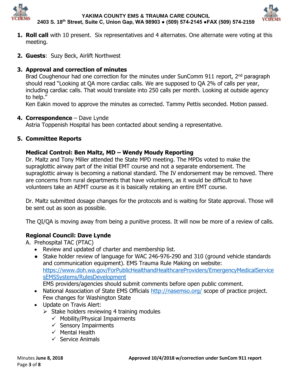



- **1. Roll call** with 10 present. Six representatives and 4 alternates. One alternate were voting at this meeting.
- **2. Guests**: Suzy Beck, Airlift Northwest

## **3. Approval and correction of minutes**

Brad Coughenour had one correction for the minutes under SunComm 911 report, 2<sup>nd</sup> paragraph should read "Looking at QA more cardiac calls. We are supposed to QA 2% of calls per year, including cardiac calls. That would translate into 250 calls per month. Looking at outside agency to help."

Ken Eakin moved to approve the minutes as corrected. Tammy Pettis seconded. Motion passed.

## **4. Correspondence** – Dave Lynde

Astria Toppenish Hospital has been contacted about sending a representative.

# **5. Committee Reports**

## **Medical Control: Ben Maltz, MD – Wendy Moudy Reporting**

Dr. Maltz and Tony Miller attended the State MPD meeting. The MPDs voted to make the supraglottic airway part of the initial EMT course and not a separate endorsement. The supraglottic airway is becoming a national standard. The IV endorsement may be removed. There are concerns from rural departments that have volunteers, as it would be difficult to have volunteers take an AEMT course as it is basically retaking an entire EMT course.

Dr. Maltz submitted dosage changes for the protocols and is waiting for State approval. Those will be sent out as soon as possible.

The QI/QA is moving away from being a punitive process. It will now be more of a review of calls.

## **Regional Council: Dave Lynde**

A. Prehospital TAC (PTAC)

- Review and updated of charter and membership list.
- Stake holder review of language for WAC 246-976-290 and 310 (ground vehicle standards and communication equipment). EMS Trauma Rule Making on website: [https://www.doh.wa.gov/ForPublicHealthandHealthcareProviders/EmergencyMedicalService](https://www.doh.wa.gov/ForPublicHealthandHealthcareProviders/EmergencyMedicalServicesEMSSystems/RulesDevelopment) [sEMSSystems/RulesDevelopment](https://www.doh.wa.gov/ForPublicHealthandHealthcareProviders/EmergencyMedicalServicesEMSSystems/RulesDevelopment)

EMS providers/agencies should submit comments before open public comment.

- National Association of State EMS Officials<http://nasemso.org/> scope of practice project. Few changes for Washington State
- Update on Travis Alert:
	- $\triangleright$  Stake holders reviewing 4 training modules
		- $\checkmark$  Mobility/Physical Impairments
		- $\checkmark$  Sensory Impairments
		- $\checkmark$  Mental Health
		- $\checkmark$  Service Animals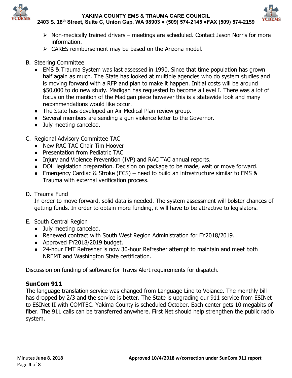

**YAKIMA COUNTY EMS & TRAUMA CARE COUNCIL**



**2403 S. 18th Street, Suite C, Union Gap, WA 98903 ● (509) 574-2145 ●FAX (509) 574-2159**

- $\triangleright$  Non-medically trained drivers meetings are scheduled. Contact Jason Norris for more information.
- $\triangleright$  CARES reimbursement may be based on the Arizona model.
- B. Steering Committee
	- EMS & Trauma System was last assessed in 1990. Since that time population has grown half again as much. The State has looked at multiple agencies who do system studies and is moving forward with a RFP and plan to make it happen. Initial costs will be around \$50,000 to do new study. Madigan has requested to become a Level I. There was a lot of focus on the mention of the Madigan piece however this is a statewide look and many recommendations would like occur.
	- The State has developed an Air Medical Plan review group.
	- Several members are sending a gun violence letter to the Governor.
	- July meeting canceled.
- C. Regional Advisory Committee TAC
	- New RAC TAC Chair Tim Hoover
	- Presentation from Pediatric TAC
	- Injury and Violence Prevention (IVP) and RAC TAC annual reports.
	- DOH legislation preparation. Decision on package to be made, wait or move forward.
	- Emergency Cardiac & Stroke (ECS) need to build an infrastructure similar to EMS & Trauma with external verification process.
- D. Trauma Fund

In order to move forward, solid data is needed. The system assessment will bolster chances of getting funds. In order to obtain more funding, it will have to be attractive to legislators.

- E. South Central Region
	- July meeting canceled.
	- Renewed contract with South West Region Administration for FY2018/2019.
	- Approved FY2018/2019 budget.
	- 24-hour EMT Refresher is now 30-hour Refresher attempt to maintain and meet both NREMT and Washington State certification.

Discussion on funding of software for Travis Alert requirements for dispatch.

### **SunCom 911**

The language translation service was changed from Language Line to Voiance. The monthly bill has dropped by 2/3 and the service is better. The State is upgrading our 911 service from ESINet to ESINet II with COMTEC. Yakima County is scheduled October. Each center gets 10 megabits of fiber. The 911 calls can be transferred anywhere. First Net should help strengthen the public radio system.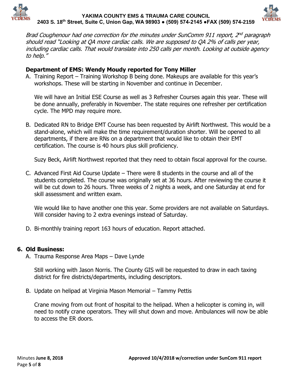

#### **YAKIMA COUNTY EMS & TRAUMA CARE COUNCIL 2403 S. 18th Street, Suite C, Union Gap, WA 98903 ● (509) 574-2145 ●FAX (509) 574-2159**



Brad Coughenour had one correction for the minutes under SunComm 911 report, 2<sup>nd</sup> paragraph should read "Looking at QA more cardiac calls. We are supposed to QA 2% of calls per year, including cardiac calls. That would translate into 250 calls per month. Looking at outside agency to help."

#### **Department of EMS: Wendy Moudy reported for Tony Miller**

A. Training Report – Training Workshop B being done. Makeups are available for this year's workshops. These will be starting in November and continue in December.

We will have an Initial ESE Course as well as 3 Refresher Courses again this year. These will be done annually, preferably in November. The state requires one refresher per certification cycle. The MPD may require more.

B. Dedicated RN to Bridge EMT Course has been requested by Airlift Northwest. This would be a stand-alone, which will make the time requirement/duration shorter. Will be opened to all departments, if there are RNs on a department that would like to obtain their EMT certification. The course is 40 hours plus skill proficiency.

Suzy Beck, Airlift Northwest reported that they need to obtain fiscal approval for the course.

C. Advanced First Aid Course Update – There were 8 students in the course and all of the students completed. The course was originally set at 36 hours. After reviewing the course it will be cut down to 26 hours. Three weeks of 2 nights a week, and one Saturday at end for skill assessment and written exam.

We would like to have another one this year. Some providers are not available on Saturdays. Will consider having to 2 extra evenings instead of Saturday.

D. Bi-monthly training report 163 hours of education. Report attached.

#### **6. Old Business:**

A. Trauma Response Area Maps – Dave Lynde

Still working with Jason Norris. The County GIS will be requested to draw in each taxing district for fire districts/departments, including descriptors.

B. Update on helipad at Virginia Mason Memorial – Tammy Pettis

Crane moving from out front of hospital to the helipad. When a helicopter is coming in, will need to notify crane operators. They will shut down and move. Ambulances will now be able to access the ER doors.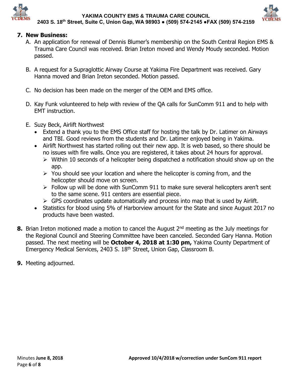



### **7. New Business:**

- A. An application for renewal of Dennis Blumer's membership on the South Central Region EMS & Trauma Care Council was received. Brian Ireton moved and Wendy Moudy seconded. Motion passed.
- B. A request for a Supraglottic Airway Course at Yakima Fire Department was received. Gary Hanna moved and Brian Ireton seconded. Motion passed.
- C. No decision has been made on the merger of the OEM and EMS office.
- D. Kay Funk volunteered to help with review of the QA calls for SunComm 911 and to help with EMT instruction.
- E. Suzy Beck, Airlift Northwest
	- Extend a thank you to the EMS Office staff for hosting the talk by Dr. Latimer on Airways and TBI. Good reviews from the students and Dr. Latimer enjoyed being in Yakima.
	- Airlift Northwest has started rolling out their new app. It is web based, so there should be no issues with fire walls. Once you are registered, it takes about 24 hours for approval.
		- $\triangleright$  Within 10 seconds of a helicopter being dispatched a notification should show up on the app.
		- $\triangleright$  You should see your location and where the helicopter is coming from, and the helicopter should move on screen.
		- > Follow up will be done with SunComm 911 to make sure several helicopters aren't sent to the same scene. 911 centers are essential piece.
		- $\triangleright$  GPS coordinates update automatically and process into map that is used by Airlift.
	- Statistics for blood using 5% of Harborview amount for the State and since August 2017 no products have been wasted.
- **8.** Brian Ireton motioned made a motion to cancel the August 2<sup>nd</sup> meeting as the July meetings for the Regional Council and Steering Committee have been canceled. Seconded Gary Hanna. Motion passed. The next meeting will be **October 4, 2018 at 1:30 pm,** Yakima County Department of Emergency Medical Services, 2403 S. 18th Street, Union Gap, Classroom B.
- **9.** Meeting adjourned.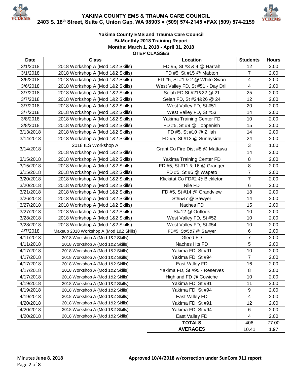

**YAKIMA COUNTY EMS & TRAUMA CARE COUNCIL 2403 S. 18th Street, Suite C, Union Gap, WA 98903 ● (509) 574-2145 ●FAX (509) 574-2159**



#### **Yakima County EMS and Trauma Care Council Bi-Monthly 2018 Training Report Months: March 1, 2018 - April 31, 2018 OTEP CLASSES**

| <b>Date</b> | <b>Class</b>                                               | Location                           | <b>Students</b>         | <b>Hours</b> |
|-------------|------------------------------------------------------------|------------------------------------|-------------------------|--------------|
| 3/1/2018    | 2018 Workshop A (Mod 1&2 Skills)                           | FD #5, St #3 & 4 @ Harrah          | 12                      | 2.00         |
| 3/1/2018    | 2018 Workshop A (Mod 1&2 Skills)<br>FD #5, St #15 @ Mabton |                                    | $\overline{7}$          | 2.00         |
| 3/5/2018    | 2018 Workshop A (Mod 1&2 Skills)                           | FD #5, St #1 & 2 @ White Swan      | $\overline{4}$          | 2.00         |
| 3/6/2018    | 2018 Workshop A (Mod 1&2 Skills)                           | West Valley FD, St #51 - Day Drill | $\overline{4}$          | 2.00         |
| 3/7/2018    | 2018 Workshop A (Mod 1&2 Skills)                           | Selah FD St #21&22 @ 21            | 25                      | 2.00         |
| 3/7/2018    | 2018 Workshop A (Mod 1&2 Skills)                           | Selah FD, St #24&26 @ 24           | 12                      | 2.00         |
| 3/7/2018    | 2018 Workshop A (Mod 1&2 Skills)                           | West Valley FD, St #51             | 20                      | 2.00         |
| 3/7/2018    | 2018 Workshop A (Mod 1&2 Skills)                           | West Valley FD, St #53             | 14                      | 2.00         |
| 3/8/2018    | 2018 Workshop A (Mod 1&2 Skills)                           | Yakima Training Center FD          | 10                      | 2.00         |
| 3/8/2018    | 2018 Workshop A (Mod 1&2 Skills)                           | FD #5, St #9 @ Toppenish           | 15                      | 2.00         |
| 3/13/2018   | 2018 Workshop A (Mod 1&2 Skills)                           | FD #5, St #10 @ Zillah             | 14                      | 2.00         |
| 3/14/2018   | 2018 Workshop A (Mod 1&2 Skills)                           | FD #5, St #13 @ Sunnyside          | 24                      | 2.00         |
|             | 2018 ILS Workshop A                                        |                                    | 3                       | 1.00         |
| 3/14/2018   | 2018 Workshop A (Mod 1&2 Skills)                           | Grant Co Fire Dist #8 @ Mattawa    | 14                      | 2.00         |
| 3/15/2018   | 2018 Workshop A (Mod 1&2 Skills)                           | Yakima Training Center FD          | 8                       | 2.00         |
| 3/15/2018   | 2018 Workshop A (Mod 1&2 Skills)                           | FD #5, St #11 & 16 @ Granger       | 8                       | 2.00         |
| 3/15/2018   | 2018 Workshop A (Mod 1&2 Skills)                           | FD #5, St #6 @ Wapato              | $\overline{7}$          | 2.00         |
| 3/20/2018   | 2018 Workshop A (Mod 1&2 Skills)                           | Klickitat Co FD#2 @ Bickleton      | $\overline{7}$          | 2.00         |
| 3/20/2018   | 2018 Workshop A (Mod 1&2 Skills)                           | Nile FD                            | 6                       | 2.00         |
| 3/21/2018   | 2018 Workshop A (Mod 1&2 Skills)                           | FD #5, St #14 @ Grandview          | 18                      | 2.00         |
| 3/26/2018   | 2018 Workshop A (Mod 1&2 Skills)                           | St#5&7 @ Sawyer                    | 14                      | 2.00         |
| 3/27/2018   | 2018 Workshop A (Mod 1&2 Skills)                           | Naches FD                          | 15                      | 2.00         |
| 3/27/2018   | 2018 Workshop A (Mod 1&2 Skills)                           | St#12 @ Outlook                    | 10                      | 2.00         |
| 3/28/2018   | 2018 Workshop A (Mod 1&2 Skills)                           | West Valley FD, St #52             | 10                      | 2.00         |
| 3/28/2018   | 2018 Workshop A (Mod 1&2 Skills)                           | West Valley FD, St #54             | 10                      | 2.00         |
| 4/7/2018    | Makeup 2018 Workshop A (Mod 1&2 Skills)                    | FD#5, St#5&7 @ Sawyer              | 6                       | 2.00         |
| 4/11/2018   | 2018 Workshop A (Mod 1&2 Skills)                           | Gleed FD                           | 7                       | 2.00         |
| 4/11/2018   | 2018 Workshop A (Mod 1&2 Skills)                           | Naches Hts FD                      | 5                       | 2.00         |
| 4/17/2018   | 2018 Workshop A (Mod 1&2 Skills)                           | Yakima FD, St #91                  | 10                      | 2.00         |
| 4/17/2018   | 2018 Workshop A (Mod 1&2 Skills)                           | Yakima FD, St #94                  | $\overline{7}$          | 2.00         |
| 4/17/2018   | 2018 Workshop A (Mod 1&2 Skills)                           | East Valley FD                     | 16                      | 2.00         |
| 4/17/2018   | 2018 Workshop A (Mod 1&2 Skills)                           | Yakima FD, St #95 - Reserves       | $\,8\,$                 | 2.00         |
| 4/17/2018   | 2018 Workshop A (Mod 1&2 Skills)                           | Highland FD @ Cowiche              | 10                      | 2.00         |
| 4/19/2018   | 2018 Workshop A (Mod 1&2 Skills)                           | Yakima FD, St #91                  | 11                      | 2.00         |
| 4/19/2018   | 2018 Workshop A (Mod 1&2 Skills)                           | Yakima FD, St #94                  | 9                       | 2.00         |
| 4/19/2018   | 2018 Workshop A (Mod 1&2 Skills)                           | East Valley FD                     | $\overline{\mathbf{4}}$ | 2.00         |
| 4/20/2018   | 2018 Workshop A (Mod 1&2 Skills)                           | Yakima FD, St #91                  | 12                      | 2.00         |
| 4/20/2018   | 2018 Workshop A (Mod 1&2 Skills)                           | Yakima FD, St #94                  | 6                       | 2.00         |
| 4/20/2018   | 2018 Workshop A (Mod 1&2 Skills)                           | East Valley FD                     | 4                       | 2.00         |
|             |                                                            | <b>TOTALS</b>                      | 406                     | 77.00        |
|             |                                                            | <b>AVERAGES</b>                    | 10.41                   | 1.97         |